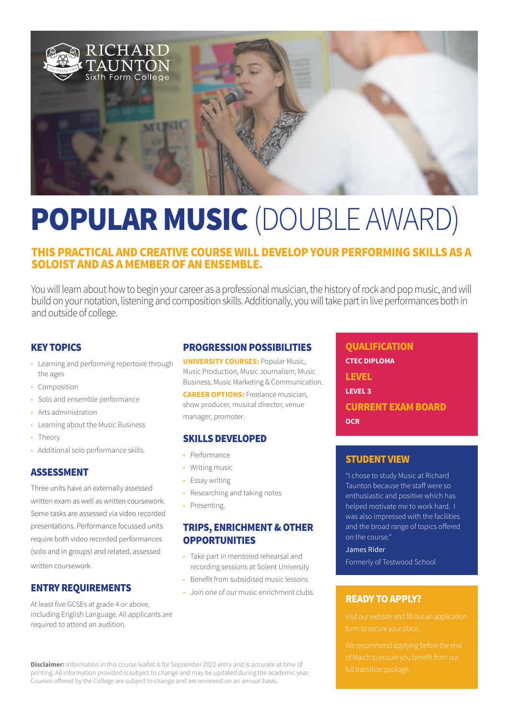

# POPULAR MUSIC (DOUBLE AWARD)

# THIS PRACTICAL AND CREATIVE COURSE WILL DEVELOP YOUR PERFORMING SKILLS AS A SOLOIST AND AS A MEMBER OF AN ENSEMBLE.

You will learn about how to begin your career as a professional musician, the history of rock and pop music, and will build on your notation, listening and composition skills. Additionally, you will take part in live performances both in and outside of college.

## KEY TOPICS

- Learning and performing repertoire through the ages
- Composition
- Solo and ensemble performance
- Arts administration
- Learning about the Music Business
- Theory
- Additional solo performance skills.

## ASSESSMENT

Three units have an externally assessed written exam as well as written coursework. Some tasks are assessed via video recorded presentations. Performance focussed units require both video recorded performances (solo and in groups) and related, assessed written coursework.

## ENTRY REQUIREMENTS

At least five GCSEs at grade 4 or above, including English Language. All applicants are required to attend an audition.

## PROGRESSION POSSIBILITIES

**UNIVERSITY COURSES:** Popular Music, Music Production, Music Journalism, Music Business, Music Marketing & Communication.

**CAREER OPTIONS:** Freelance musician, show producer, musical director, venue manager, promoter.

#### SKILLS DEVELOPED

- Performance
- Writing music
- Essay writing
- Researching and taking notes
- Presenting.

# TRIPS, ENRICHMENT & OTHER **OPPORTUNITIES**

- Take part in mentored rehearsal and recording sessions at Solent University
- Benefit from subsidised music lessons
- Join one of our music enrichment clubs.

**QUALIFICATION CTEC DIPLOMA** LEVEL **LEVEL 3** CURRENT EXAM BOARD **OCR**

#### STUDENT VIEW

"I chose to study Music at Richard Taunton because the staff were so enthusiastic and positive which has helped motivate me to work hard. I was also impressed with the facilities and the broad range of topics offered on the course."

#### James Rider

Formerly of Testwood School

## READY TO APPLY?

**Disclaimer:** Information in this course leaflet is for September 2022 entry and is accurate at time of printing. All information provided is subject to change and may be updated during the academic year. Courses offered by the College are subject to change and are reviewed on an annual basis.